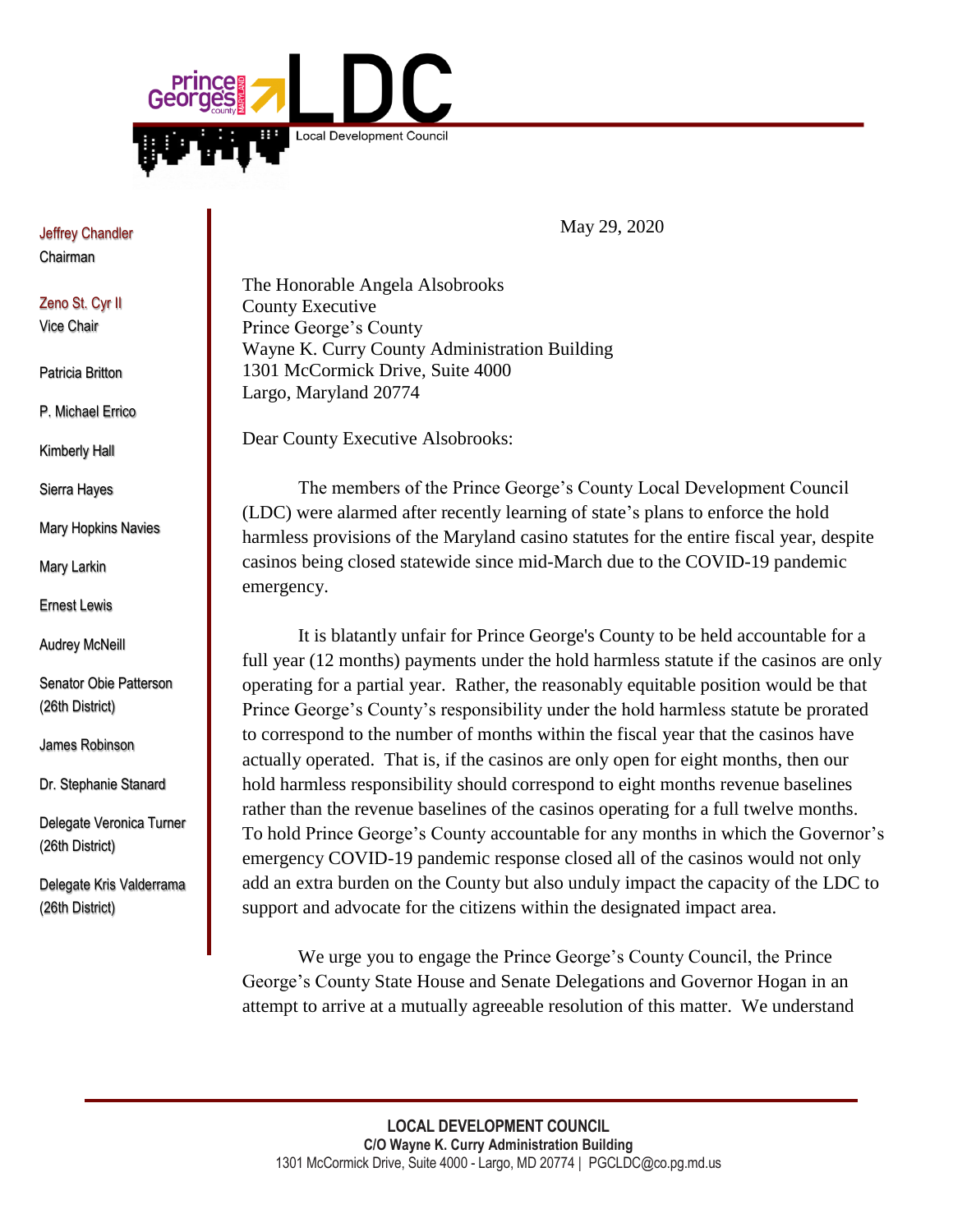

Jeffrey Chandler Chairman

Zeno St. Cyr II Vice Chair

Patricia Britton

P. Michael Errico

Kimberly Hall

Sierra Hayes

Mary Hopkins Navies

Mary Larkin

Ernest Lewis

Audrey McNeill

Senator Obie Patterson (26th District)

James Robinson

Dr. Stephanie Stanard

Delegate Veronica Turner (26th District)

Delegate Kris Valderrama (26th District)

May 29, 2020

The Honorable Angela Alsobrooks County Executive Prince George's County Wayne K. Curry County Administration Building 1301 McCormick Drive, Suite 4000 Largo, Maryland 20774

Dear County Executive Alsobrooks:

The members of the Prince George's County Local Development Council (LDC) were alarmed after recently learning of state's plans to enforce the hold harmless provisions of the Maryland casino statutes for the entire fiscal year, despite casinos being closed statewide since mid-March due to the COVID-19 pandemic emergency.

It is blatantly unfair for Prince George's County to be held accountable for a full year (12 months) payments under the hold harmless statute if the casinos are only operating for a partial year. Rather, the reasonably equitable position would be that Prince George's County's responsibility under the hold harmless statute be prorated to correspond to the number of months within the fiscal year that the casinos have actually operated. That is, if the casinos are only open for eight months, then our hold harmless responsibility should correspond to eight months revenue baselines rather than the revenue baselines of the casinos operating for a full twelve months. To hold Prince George's County accountable for any months in which the Governor's emergency COVID-19 pandemic response closed all of the casinos would not only add an extra burden on the County but also unduly impact the capacity of the LDC to support and advocate for the citizens within the designated impact area.

We urge you to engage the Prince George's County Council, the Prince George's County State House and Senate Delegations and Governor Hogan in an attempt to arrive at a mutually agreeable resolution of this matter. We understand